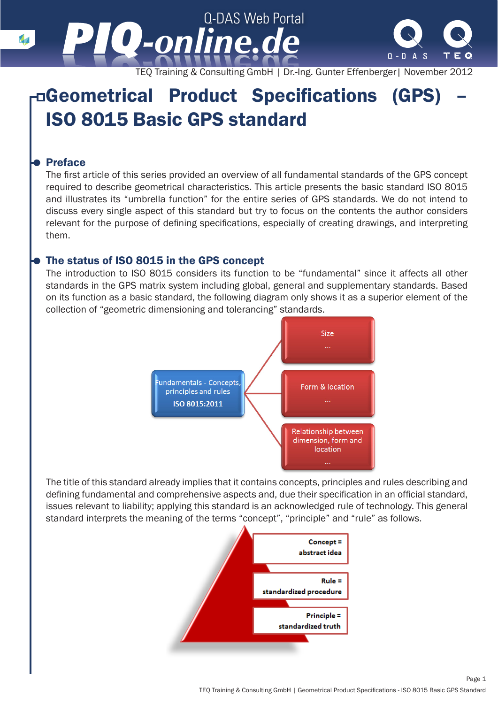

TEQ Training & Consulting GmbH | Dr.-Ing. Gunter Effenberger| November 2012

# Geometrical Product Specifications (GPS) – ISO 8015 Basic GPS standard

# Preface

The first article of this series provided an overview of all fundamental standards of the GPS concept required to describe geometrical characteristics. This article presents the basic standard ISO 8015 and illustrates its "umbrella function" for the entire series of GPS standards. We do not intend to discuss every single aspect of this standard but try to focus on the contents the author considers relevant for the purpose of defining specifications, especially of creating drawings, and interpreting them.

# The status of ISO 8015 in the GPS concept

The introduction to ISO 8015 considers its function to be "fundamental" since it affects all other standards in the GPS matrix system including global, general and supplementary standards. Based on its function as a basic standard, the following diagram only shows it as a superior element of the collection of "geometric dimensioning and tolerancing" standards.



The title of this standard already implies that it contains concepts, principles and rules describing and defining fundamental and comprehensive aspects and, due their specification in an official standard, issues relevant to liability; applying this standard is an acknowledged rule of technology. This general standard interprets the meaning of the terms "concept", "principle" and "rule" as follows.

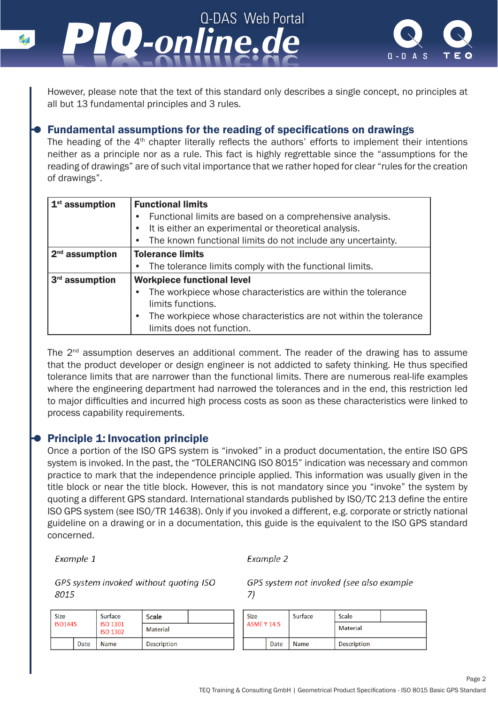*-online.de -online.de* However, please note that the text of this standard only describes a single concept, no principles at

Q-DAS Web Portal

# Fundamental assumptions for the reading of specifications on drawings

The heading of the 4<sup>th</sup> chapter literally reflects the authors' efforts to implement their intentions neither as a principle nor as a rule. This fact is highly regrettable since the "assumptions for the reading of drawings" are of such vital importance that we rather hoped for clear "rules for the creation of drawings".

| $1st$ assumption           | <b>Functional limits</b>                                                      |  |  |  |  |
|----------------------------|-------------------------------------------------------------------------------|--|--|--|--|
|                            | Functional limits are based on a comprehensive analysis.<br>$\bullet$         |  |  |  |  |
|                            | It is either an experimental or theoretical analysis.                         |  |  |  |  |
|                            | The known functional limits do not include any uncertainty.                   |  |  |  |  |
| $2nd$ assumption           | <b>Tolerance limits</b>                                                       |  |  |  |  |
|                            | The tolerance limits comply with the functional limits.<br>$\bullet$          |  |  |  |  |
| 3 <sup>rd</sup> assumption | <b>Workpiece functional level</b>                                             |  |  |  |  |
|                            | The workpiece whose characteristics are within the tolerance<br>$\bullet$     |  |  |  |  |
|                            | limits functions.                                                             |  |  |  |  |
|                            | The workpiece whose characteristics are not within the tolerance<br>$\bullet$ |  |  |  |  |
|                            | limits does not function.                                                     |  |  |  |  |

The 2<sup>nd</sup> assumption deserves an additional comment. The reader of the drawing has to assume that the product developer or design engineer is not addicted to safety thinking. He thus specified tolerance limits that are narrower than the functional limits. There are numerous real-life examples where the engineering department had narrowed the tolerances and in the end, this restriction led to major difficulties and incurred high process costs as soon as these characteristics were linked to process capability requirements.

# Principle 1: Invocation principle

all but 13 fundamental principles and 3 rules.

Once a portion of the ISO GPS system is "invoked" in a product documentation, the entire ISO GPS system is invoked. In the past, the "TOLERANCING ISO 8015" indication was necessary and common practice to mark that the independence principle applied. This information was usually given in the title block or near the title block. However, this is not mandatory since you "invoke" the system by quoting a different GPS standard. International standards published by ISO/TC 213 define the entire ISO GPS system (see ISO/TR 14638). Only if you invoked a different, e.g. corporate or strictly national guideline on a drawing or in a documentation, this guide is the equivalent to the ISO GPS standard concerned.

Example 1

Example 2

GPS system invoked without quoting ISO 8015

GPS system not invoked (see also example  $7)$ 

| Size |                |      | Surface                            | Scale              |  | Size               |      | Surface | Scale              |  |
|------|----------------|------|------------------------------------|--------------------|--|--------------------|------|---------|--------------------|--|
|      | <b>ISO1445</b> |      | <b>ISO 1101</b><br><b>ISO 1302</b> | <b>Material</b>    |  | <b>ASME Y 14.5</b> |      |         | Material           |  |
|      |                | Date | <b>Name</b>                        | <b>Description</b> |  |                    | Date | Name    | <b>Description</b> |  |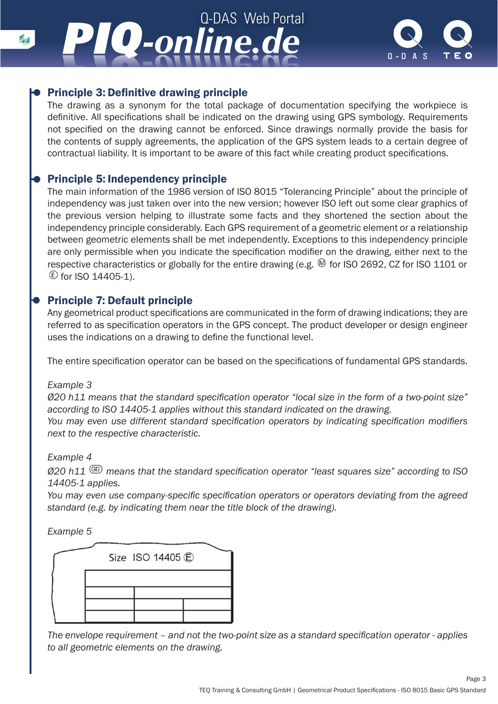# Q-DAS Web Portal *-online.de -online.de*



# Principle 3: Definitive drawing principle

The drawing as a synonym for the total package of documentation specifying the workpiece is definitive. All specifications shall be indicated on the drawing using GPS symbology. Requirements not specified on the drawing cannot be enforced. Since drawings normally provide the basis for the contents of supply agreements, the application of the GPS system leads to a certain degree of contractual liability. It is important to be aware of this fact while creating product specifications.

#### Principle 5: Independency principle

The main information of the 1986 version of ISO 8015 "Tolerancing Principle" about the principle of independency was just taken over into the new version; however ISO left out some clear graphics of the previous version helping to illustrate some facts and they shortened the section about the independency principle considerably. Each GPS requirement of a geometric element or a relationship between geometric elements shall be met independently. Exceptions to this independency principle are only permissible when you indicate the specification modifier on the drawing, either next to the respective characteristics or globally for the entire drawing (e.g.  $\circledR$  for ISO 2692, CZ for ISO 1101 or  $E$  for ISO 14405-1).

# Principle 7: Default principle

Any geometrical product specifications are communicated in the form of drawing indications; they are referred to as specification operators in the GPS concept. The product developer or design engineer uses the indications on a drawing to define the functional level.

The entire specification operator can be based on the specifications of fundamental GPS standards.

#### *Example 3*

*Ø20 h11 means that the standard specification operator "local size in the form of a two-point size" according to ISO 14405-1 applies without this standard indicated on the drawing.*

*You may even use different standard specification operators by indicating specification modifiers next to the respective characteristic.*

#### *Example 4*

*Ø20 h11 means that the standard specification operator "least squares size" according to ISO 14405-1 applies.*

*You may even use company-specific specification operators or operators deviating from the agreed standard (e.g. by indicating them near the title block of the drawing).*

*Example 5*

|  | Size ISO 14405 C |  |
|--|------------------|--|
|  |                  |  |
|  |                  |  |

*The envelope requirement – and not the two-point size as a standard specification operator - applies to all geometric elements on the drawing.*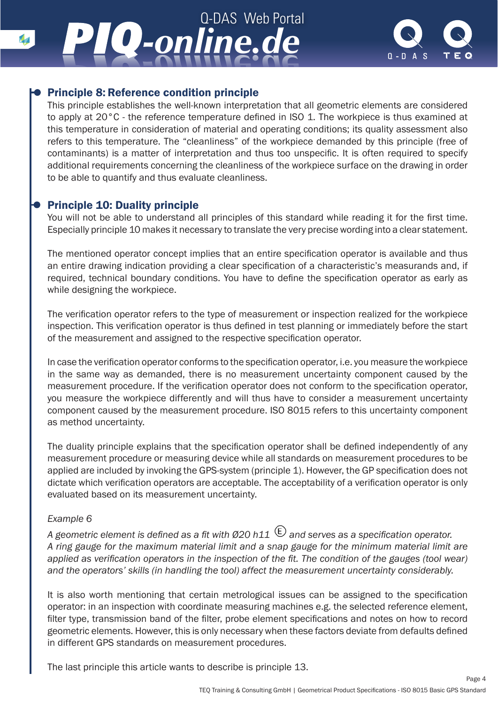# Q-DAS Web Portal *-online.de -online.de*



# Principle 8: Reference condition principle

This principle establishes the well-known interpretation that all geometric elements are considered to apply at 20°C - the reference temperature defined in ISO 1. The workpiece is thus examined at this temperature in consideration of material and operating conditions; its quality assessment also refers to this temperature. The "cleanliness" of the workpiece demanded by this principle (free of contaminants) is a matter of interpretation and thus too unspecific. It is often required to specify additional requirements concerning the cleanliness of the workpiece surface on the drawing in order to be able to quantify and thus evaluate cleanliness.

# Principle 10: Duality principle

You will not be able to understand all principles of this standard while reading it for the first time. Especially principle 10 makes it necessary to translate the very precise wording into a clear statement.

The mentioned operator concept implies that an entire specification operator is available and thus an entire drawing indication providing a clear specification of a characteristic's measurands and, if required, technical boundary conditions. You have to define the specification operator as early as while designing the workpiece.

The verification operator refers to the type of measurement or inspection realized for the workpiece inspection. This verification operator is thus defined in test planning or immediately before the start of the measurement and assigned to the respective specification operator.

In case the verification operator conforms to the specification operator, i.e. you measure the workpiece in the same way as demanded, there is no measurement uncertainty component caused by the measurement procedure. If the verification operator does not conform to the specification operator, you measure the workpiece differently and will thus have to consider a measurement uncertainty component caused by the measurement procedure. ISO 8015 refers to this uncertainty component as method uncertainty.

The duality principle explains that the specification operator shall be defined independently of any measurement procedure or measuring device while all standards on measurement procedures to be applied are included by invoking the GPS-system (principle 1). However, the GP specification does not dictate which verification operators are acceptable. The acceptability of a verification operator is only evaluated based on its measurement uncertainty.

#### *Example 6*

*A geometric element is defined as a fit with Ø20 h11*  $\mathbb{E}$  and serves as a specification operator. *A ring gauge for the maximum material limit and a snap gauge for the minimum material limit are applied as verification operators in the inspection of the fit. The condition of the gauges (tool wear) and the operators' skills (in handling the tool) affect the measurement uncertainty considerably.*

It is also worth mentioning that certain metrological issues can be assigned to the specification operator: in an inspection with coordinate measuring machines e.g. the selected reference element, filter type, transmission band of the filter, probe element specifications and notes on how to record geometric elements. However, this is only necessary when these factors deviate from defaults defined in different GPS standards on measurement procedures.

The last principle this article wants to describe is principle 13.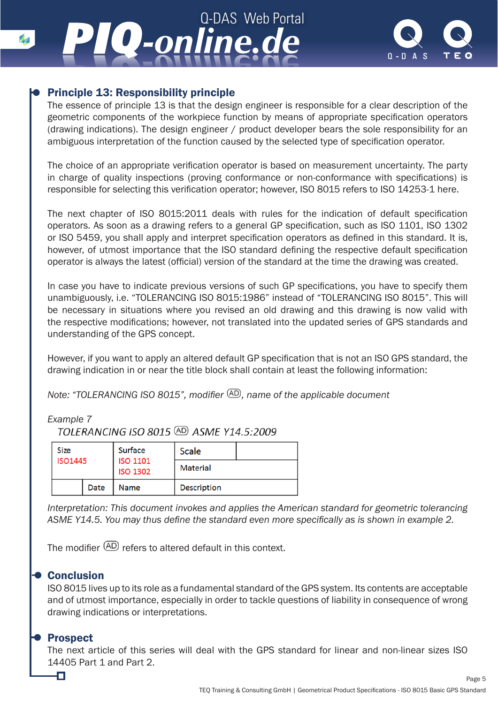# Q-DAS Web Portal *-online.de -online.de*



# Principle 13: Responsibility principle

The essence of principle 13 is that the design engineer is responsible for a clear description of the geometric components of the workpiece function by means of appropriate specification operators (drawing indications). The design engineer / product developer bears the sole responsibility for an ambiguous interpretation of the function caused by the selected type of specification operator.

The choice of an appropriate verification operator is based on measurement uncertainty. The party in charge of quality inspections (proving conformance or non-conformance with specifications) is responsible for selecting this verification operator; however, ISO 8015 refers to ISO 14253-1 here.

The next chapter of ISO 8015:2011 deals with rules for the indication of default specification operators. As soon as a drawing refers to a general GP specification, such as ISO 1101, ISO 1302 or ISO 5459, you shall apply and interpret specification operators as defined in this standard. It is, however, of utmost importance that the ISO standard defining the respective default specification operator is always the latest (official) version of the standard at the time the drawing was created.

In case you have to indicate previous versions of such GP specifications, you have to specify them unambiguously, i.e. "TOLERANCING ISO 8015:1986" instead of "TOLERANCING ISO 8015". This will be necessary in situations where you revised an old drawing and this drawing is now valid with the respective modifications; however, not translated into the updated series of GPS standards and understanding of the GPS concept.

However, if you want to apply an altered default GP specification that is not an ISO GPS standard, the drawing indication in or near the title block shall contain at least the following information:

*Note: "TOLERANCING ISO 8015", modifier*  $(AD)$ , name of the applicable document

# *Example 7*

TOLERANCING ISO 8015 (AD ASME Y14.5:2009)

| <b>Size</b><br><b>ISO1445</b> |      | Surface                            | <b>Scale</b>    |  |
|-------------------------------|------|------------------------------------|-----------------|--|
|                               |      | <b>ISO 1101</b><br><b>ISO 1302</b> | <b>Material</b> |  |
|                               | Date | Name                               | Description     |  |

*Interpretation: This document invokes and applies the American standard for geometric tolerancing ASME Y14.5. You may thus define the standard even more specifically as is shown in example 2.*

The modifier  $\overline{AD}$  refers to altered default in this context.

# Conclusion

ISO 8015 lives up to its role as a fundamental standard of the GPS system. Its contents are acceptable and of utmost importance, especially in order to tackle questions of liability in consequence of wrong drawing indications or interpretations.

# Prospect

łП

The next article of this series will deal with the GPS standard for linear and non-linear sizes ISO 14405 Part 1 and Part 2.